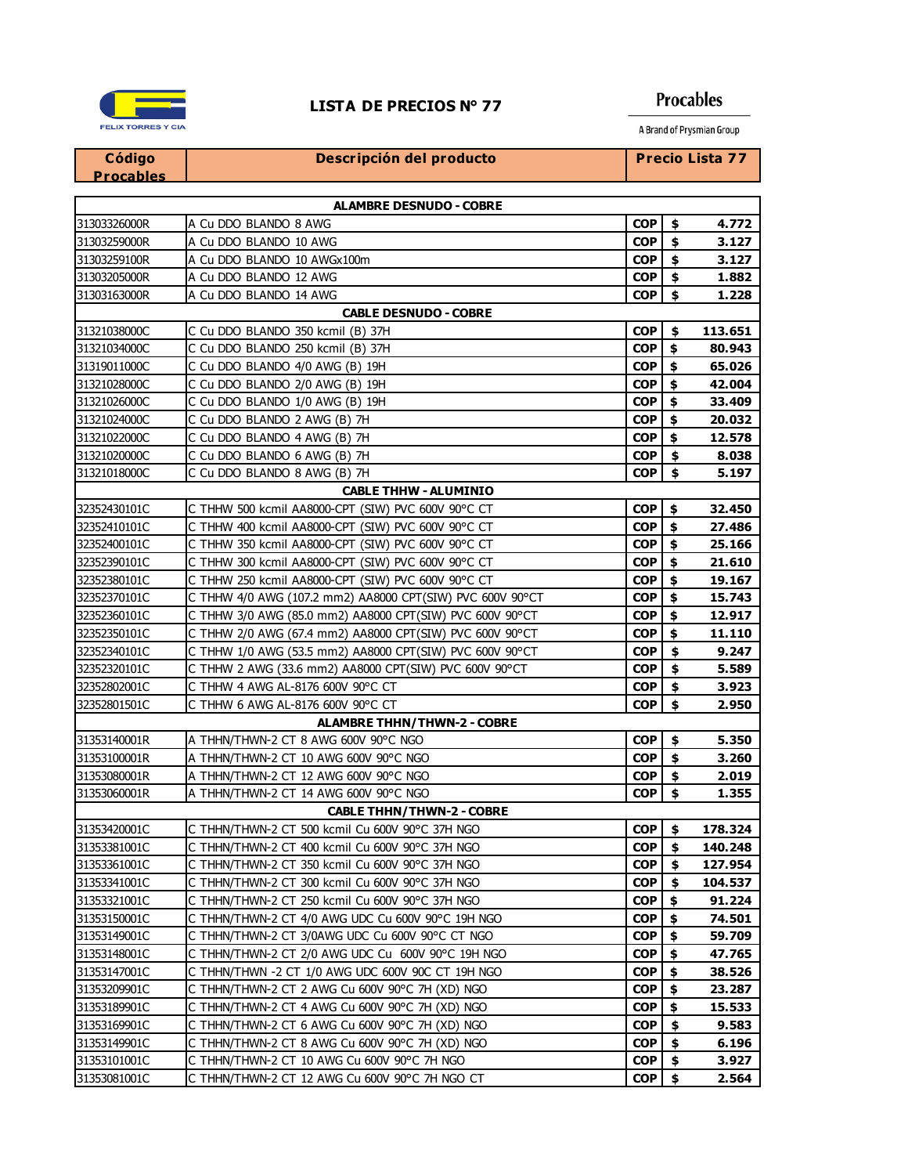

## **Procables** A Brand of Prysmian Group

| Código                         | Descripción del producto                                  |            |     | Precio Lista 77 |
|--------------------------------|-----------------------------------------------------------|------------|-----|-----------------|
| <b>Procables</b>               |                                                           |            |     |                 |
| <b>ALAMBRE DESNUDO - COBRE</b> |                                                           |            |     |                 |
| 31303326000R                   | A Cu DDO BLANDO 8 AWG                                     | <b>COP</b> | \$  | 4.772           |
| 31303259000R                   | A Cu DDO BLANDO 10 AWG                                    | <b>COP</b> | \$  | 3.127           |
| 31303259100R                   | A Cu DDO BLANDO 10 AWGx100m                               | <b>COP</b> | \$  | 3.127           |
| 31303205000R                   | A Cu DDO BLANDO 12 AWG                                    | <b>COP</b> | \$  | 1.882           |
| 31303163000R                   | A Cu DDO BLANDO 14 AWG                                    | <b>COP</b> | \$  | 1.228           |
|                                | <b>CABLE DESNUDO - COBRE</b>                              |            |     |                 |
| 31321038000C                   | C Cu DDO BLANDO 350 kcmil (B) 37H                         | <b>COP</b> | \$  | 113.651         |
| 31321034000C                   | C Cu DDO BLANDO 250 kcmil (B) 37H                         | <b>COP</b> | \$  | 80.943          |
| 31319011000C                   | C Cu DDO BLANDO 4/0 AWG (B) 19H                           | <b>COP</b> | \$  | 65.026          |
| 31321028000C                   | C Cu DDO BLANDO 2/0 AWG (B) 19H                           | <b>COP</b> | \$  | 42.004          |
| 31321026000C                   | C Cu DDO BLANDO 1/0 AWG (B) 19H                           | <b>COP</b> | \$  | 33.409          |
| 31321024000C                   | C Cu DDO BLANDO 2 AWG (B) 7H                              | <b>COP</b> | \$  | 20.032          |
| 31321022000C                   | C Cu DDO BLANDO 4 AWG (B) 7H                              | <b>COP</b> | \$  | 12.578          |
| 31321020000C                   | C Cu DDO BLANDO 6 AWG (B) 7H                              | <b>COP</b> | \$  | 8.038           |
| 31321018000C                   | C Cu DDO BLANDO 8 AWG (B) 7H                              | <b>COP</b> | \$  | 5.197           |
|                                | <b>CABLE THHW - ALUMINIO</b>                              |            |     |                 |
| 32352430101C                   | C THHW 500 kcmil AA8000-CPT (SIW) PVC 600V 90°C CT        | <b>COP</b> | \$  | 32.450          |
| 32352410101C                   | C THHW 400 kcmil AA8000-CPT (SIW) PVC 600V 90°C CT        | <b>COP</b> | \$  | 27.486          |
| 32352400101C                   | C THHW 350 kcmil AA8000-CPT (SIW) PVC 600V 90°C CT        | <b>COP</b> | \$  | 25.166          |
| 32352390101C                   | C THHW 300 kcmil AA8000-CPT (SIW) PVC 600V 90°C CT        | <b>COP</b> | \$  | 21.610          |
| 32352380101C                   | C THHW 250 kcmil AA8000-CPT (SIW) PVC 600V 90°C CT        | <b>COP</b> | \$  | 19.167          |
| 32352370101C                   | C THHW 4/0 AWG (107.2 mm2) AA8000 CPT(SIW) PVC 600V 90°CT | <b>COP</b> | \$  | 15.743          |
| 32352360101C                   | C THHW 3/0 AWG (85.0 mm2) AA8000 CPT(SIW) PVC 600V 90°CT  | <b>COP</b> | \$  | 12.917          |
| 32352350101C                   | C THHW 2/0 AWG (67.4 mm2) AA8000 CPT(SIW) PVC 600V 90°CT  | <b>COP</b> | \$  | 11.110          |
| 32352340101C                   | C THHW 1/0 AWG (53.5 mm2) AA8000 CPT(SIW) PVC 600V 90°CT  | <b>COP</b> | \$  | 9.247           |
| 32352320101C                   | C THHW 2 AWG (33.6 mm2) AA8000 CPT(SIW) PVC 600V 90°CT    | <b>COP</b> | \$  | 5.589           |
| 32352802001C                   | C THHW 4 AWG AL-8176 600V 90°C CT                         | <b>COP</b> | \$  | 3.923           |
| 32352801501C                   | C THHW 6 AWG AL-8176 600V 90°C CT                         | <b>COP</b> | \$  | 2.950           |
|                                | <b>ALAMBRE THHN/THWN-2 - COBRE</b>                        |            |     |                 |
| 31353140001R                   | A THHN/THWN-2 CT 8 AWG 600V 90°C NGO                      | <b>COP</b> | \$  | 5.350           |
| 31353100001R                   | A THHN/THWN-2 CT 10 AWG 600V 90°C NGO                     | <b>COP</b> | \$  | 3.260           |
| 31353080001R                   | A THHN/THWN-2 CT 12 AWG 600V 90°C NGO                     | <b>COP</b> | \$  | 2.019           |
| 31353060001R                   | A THHN/THWN-2 CT 14 AWG 600V 90°C NGO                     | <b>COP</b> | \$  | 1.355           |
|                                | <b>CABLE THHN/THWN-2 - COBRE</b>                          |            |     |                 |
| 31353420001C                   | C THHN/THWN-2 CT 500 kcmil Cu 600V 90°C 37H NGO           | <b>COP</b> | \$  | 178.324         |
| 31353381001C                   | C THHN/THWN-2 CT 400 kcmil Cu 600V 90°C 37H NGO           | <b>COP</b> | \$  | 140.248         |
| 31353361001C                   | C THHN/THWN-2 CT 350 kcmil Cu 600V 90°C 37H NGO           | <b>COP</b> | \$  | 127.954         |
| 31353341001C                   | C THHN/THWN-2 CT 300 kcmil Cu 600V 90°C 37H NGO           | <b>COP</b> | \$  | 104.537         |
| 31353321001C                   | C THHN/THWN-2 CT 250 kcmil Cu 600V 90°C 37H NGO           | <b>COP</b> | \$  | 91.224          |
| 31353150001C                   | C THHN/THWN-2 CT 4/0 AWG UDC Cu 600V 90°C 19H NGO         | <b>COP</b> | \$  | 74.501          |
| 31353149001C                   | C THHN/THWN-2 CT 3/0AWG UDC Cu 600V 90°C CT NGO           | <b>COP</b> | \$  | 59.709          |
| 31353148001C                   | C THHN/THWN-2 CT 2/0 AWG UDC Cu 600V 90°C 19H NGO         | <b>COP</b> | \$  | 47.765          |
| 31353147001C                   | C THHN/THWN -2 CT 1/0 AWG UDC 600V 90C CT 19H NGO         | <b>COP</b> | \$  | 38.526          |
| 31353209901C                   | C THHN/THWN-2 CT 2 AWG Cu 600V 90°C 7H (XD) NGO           | <b>COP</b> | \$  | 23.287          |
| 31353189901C                   | C THHN/THWN-2 CT 4 AWG Cu 600V 90°C 7H (XD) NGO           | <b>COP</b> | \$  | 15.533          |
| 31353169901C                   | C THHN/THWN-2 CT 6 AWG Cu 600V 90°C 7H (XD) NGO           | <b>COP</b> | -\$ | 9.583           |

31353149901C C THHN/THWN-2 CT 8 AWG Cu 600V 90°C 7H (XD) NGO **COP 6 6.196** 31353101001C C THHN/THWN-2 CT 10 AWG Cu 600V 90°C 7H NGO **COP 3.927** 31353081001C C THHN/THWN-2 CT 12 AWG Cu 600V 90°C 7H NGO CT **COP 3 2.564**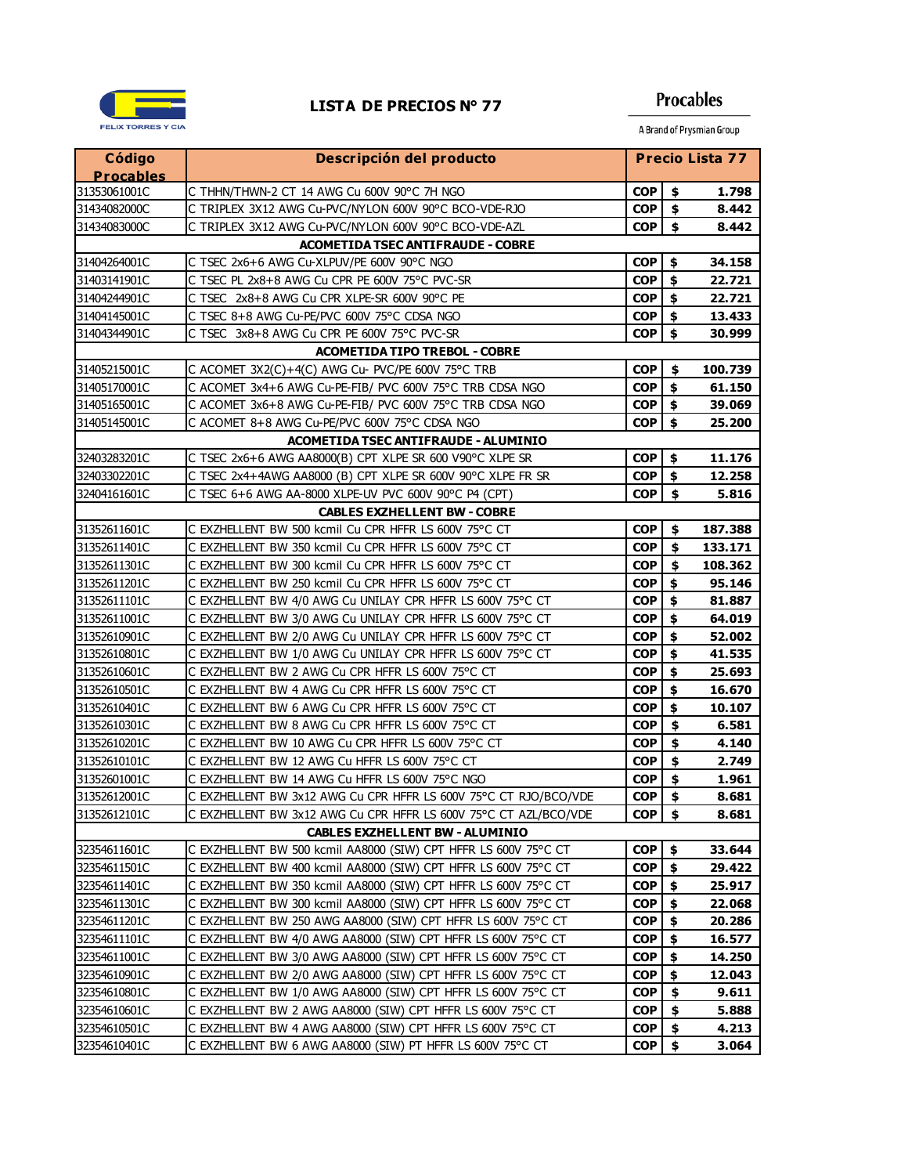

**Procables** 

| Código                       | Descripción del producto                                                                                                           | Precio Lista 77          |                    |                |
|------------------------------|------------------------------------------------------------------------------------------------------------------------------------|--------------------------|--------------------|----------------|
| <b>Procables</b>             |                                                                                                                                    |                          |                    |                |
| 31353061001C                 | C THHN/THWN-2 CT 14 AWG Cu 600V 90°C 7H NGO                                                                                        | <b>COP</b>               | \$                 | 1.798          |
| 31434082000C                 | C TRIPLEX 3X12 AWG Cu-PVC/NYLON 600V 90°C BCO-VDE-RJO                                                                              | <b>COP</b>               | \$                 | 8.442          |
| 31434083000C                 | C TRIPLEX 3X12 AWG Cu-PVC/NYLON 600V 90°C BCO-VDE-AZL                                                                              | <b>COP</b>               | \$                 | 8.442          |
|                              | <b>ACOMETIDA TSEC ANTIFRAUDE - COBRE</b>                                                                                           |                          |                    |                |
| 31404264001C                 | C TSEC 2x6+6 AWG Cu-XLPUV/PE 600V 90°C NGO                                                                                         | <b>COP</b>               | \$                 | 34.158         |
| 31403141901C                 | C TSEC PL 2x8+8 AWG Cu CPR PE 600V 75°C PVC-SR                                                                                     | <b>COP</b>               | \$                 | 22.721         |
| 31404244901C                 | C TSEC 2x8+8 AWG Cu CPR XLPE-SR 600V 90°C PE                                                                                       | <b>COP</b>               | \$                 | 22.721         |
| 31404145001C                 | C TSEC 8+8 AWG Cu-PE/PVC 600V 75°C CDSA NGO                                                                                        | <b>COP</b>               | \$                 | 13.433         |
| 31404344901C                 | C TSEC 3x8+8 AWG Cu CPR PE 600V 75°C PVC-SR                                                                                        | <b>COP</b>               | \$                 | 30.999         |
|                              | <b>ACOMETIDA TIPO TREBOL - COBRE</b>                                                                                               |                          |                    |                |
| 31405215001C                 | C ACOMET 3X2(C)+4(C) AWG Cu- PVC/PE 600V 75°C TRB                                                                                  | <b>COP</b>               | \$                 | 100.739        |
| 31405170001C                 | C ACOMET 3x4+6 AWG Cu-PE-FIB/ PVC 600V 75°C TRB CDSA NGO                                                                           | <b>COP</b>               | $\hat{\mathbf{s}}$ | 61.150         |
| 31405165001C                 | C ACOMET 3x6+8 AWG Cu-PE-FIB/ PVC 600V 75°C TRB CDSA NGO                                                                           | COP I                    | \$                 | 39.069         |
| 31405145001C                 | C ACOMET 8+8 AWG Cu-PE/PVC 600V 75°C CDSA NGO                                                                                      | <b>COP</b>               | \$                 | 25.200         |
|                              | <b>ACOMETIDA TSEC ANTIFRAUDE - ALUMINIO</b>                                                                                        |                          |                    |                |
| 32403283201C                 | C TSEC 2x6+6 AWG AA8000(B) CPT XLPE SR 600 V90°C XLPE SR                                                                           | COP I                    | \$                 | 11.176         |
| 32403302201C                 | C TSEC 2x4+4AWG AA8000 (B) CPT XLPE SR 600V 90°C XLPE FR SR                                                                        | <b>COP</b>               | \$                 | 12.258         |
| 32404161601C                 | C TSEC 6+6 AWG AA-8000 XLPE-UV PVC 600V 90°C P4 (CPT)                                                                              | <b>COP</b>               | \$                 | 5.816          |
|                              | <b>CABLES EXZHELLENT BW - COBRE</b>                                                                                                |                          |                    |                |
| 31352611601C                 | C EXZHELLENT BW 500 kcmil Cu CPR HFFR LS 600V 75°C CT                                                                              | <b>COP</b>               | \$                 | 187.388        |
| 31352611401C                 | C EXZHELLENT BW 350 kcmil Cu CPR HFFR LS 600V 75°C CT                                                                              | <b>COP</b>               | \$                 | 133.171        |
| 31352611301C                 | C EXZHELLENT BW 300 kcmil Cu CPR HFFR LS 600V 75°C CT                                                                              | <b>COP</b>               | \$                 | 108.362        |
| 31352611201C                 | C EXZHELLENT BW 250 kcmil Cu CPR HFFR LS 600V 75°C CT                                                                              | <b>COP</b>               | \$                 | 95.146         |
| 31352611101C                 | C EXZHELLENT BW 4/0 AWG Cu UNILAY CPR HFFR LS 600V 75°C CT                                                                         | <b>COP</b>               | \$                 | 81.887         |
| 31352611001C                 | C EXZHELLENT BW 3/0 AWG Cu UNILAY CPR HFFR LS 600V 75°C CT                                                                         | <b>COP</b>               | \$                 | 64.019         |
| 31352610901C                 | C EXZHELLENT BW 2/0 AWG Cu UNILAY CPR HFFR LS 600V 75°C CT                                                                         | <b>COP</b>               | \$                 | 52.002         |
| 31352610801C                 | C EXZHELLENT BW 1/0 AWG Cu UNILAY CPR HFFR LS 600V 75°C CT                                                                         | <b>COP</b>               | \$                 | 41.535         |
| 31352610601C                 | C EXZHELLENT BW 2 AWG Cu CPR HFFR LS 600V 75°C CT                                                                                  | <b>COP</b>               | \$                 | 25.693         |
| 31352610501C                 | C EXZHELLENT BW 4 AWG Cu CPR HFFR LS 600V 75°C CT                                                                                  | <b>COP</b>               | \$                 | 16.670         |
| 31352610401C                 | C EXZHELLENT BW 6 AWG Cu CPR HFFR LS 600V 75°C CT                                                                                  | <b>COP</b>               | \$                 | 10.107         |
| 31352610301C                 | C EXZHELLENT BW 8 AWG Cu CPR HFFR LS 600V 75°C CT                                                                                  | <b>COP</b>               | \$                 | 6.581          |
| 31352610201C                 | C EXZHELLENT BW 10 AWG Cu CPR HFFR LS 600V 75°C CT                                                                                 | <b>COP</b>               | \$                 | 4.140          |
| 31352610101C                 | C EXZHELLENT BW 12 AWG Cu HFFR LS 600V 75°C CT                                                                                     | <b>COP</b>               | \$                 | 2.749          |
| 31352601001C                 | C EXZHELLENT BW 14 AWG Cu HFFR LS 600V 75°C NGO                                                                                    | <b>COP</b>               | \$<br>\$           | 1.961          |
| 31352612001C                 | C EXZHELLENT BW 3x12 AWG Cu CPR HFFR LS 600V 75°C CT RJO/BCO/VDE                                                                   | <b>COP</b>               |                    | 8.681          |
| 31352612101C                 | C EXZHELLENT BW 3x12 AWG Cu CPR HFFR LS 600V 75°C CT AZL/BCO/VDE                                                                   | $\overline{COP}$ \$      |                    | 8.681          |
|                              | <b>CABLES EXZHELLENT BW - ALUMINIO</b>                                                                                             |                          |                    |                |
| 32354611601C                 | C EXZHELLENT BW 500 kcmil AA8000 (SIW) CPT HFFR LS 600V 75°C CT<br>C EXZHELLENT BW 400 kcmil AA8000 (SIW) CPT HFFR LS 600V 75°C CT | <b>COP</b>               | \$                 | 33.644         |
| 32354611501C                 |                                                                                                                                    | <b>COP</b>               | \$                 | 29.422         |
| 32354611401C                 | C EXZHELLENT BW 350 kcmil AA8000 (SIW) CPT HFFR LS 600V 75°C CT                                                                    | <b>COP</b>               | \$                 | 25.917         |
| 32354611301C                 | C EXZHELLENT BW 300 kcmil AA8000 (SIW) CPT HFFR LS 600V 75°C CT                                                                    | <b>COP</b>               | \$                 | 22.068         |
| 32354611201C                 | C EXZHELLENT BW 250 AWG AA8000 (SIW) CPT HFFR LS 600V 75°C CT                                                                      | <b>COP</b>               | \$                 | 20.286         |
| 32354611101C                 | C EXZHELLENT BW 4/0 AWG AA8000 (SIW) CPT HFFR LS 600V 75°C CT                                                                      | <b>COP</b>               | \$                 | 16.577         |
| 32354611001C                 | C EXZHELLENT BW 3/0 AWG AA8000 (SIW) CPT HFFR LS 600V 75°C CT                                                                      | <b>COP</b>               | \$                 | 14.250         |
| 32354610901C                 | C EXZHELLENT BW 2/0 AWG AA8000 (SIW) CPT HFFR LS 600V 75°C CT                                                                      | <b>COP</b>               | \$                 | 12.043         |
| 32354610801C                 | C EXZHELLENT BW 1/0 AWG AA8000 (SIW) CPT HFFR LS 600V 75°C CT                                                                      | <b>COP</b>               | \$                 | 9.611          |
| 32354610601C                 | C EXZHELLENT BW 2 AWG AA8000 (SIW) CPT HFFR LS 600V 75°C CT                                                                        | <b>COP</b>               | \$                 | 5.888          |
| 32354610501C<br>32354610401C | C EXZHELLENT BW 4 AWG AA8000 (SIW) CPT HFFR LS 600V 75°C CT<br>C EXZHELLENT BW 6 AWG AA8000 (SIW) PT HFFR LS 600V 75°C CT          | <b>COP</b><br><b>COP</b> | \$<br>\$           | 4.213<br>3.064 |
|                              |                                                                                                                                    |                          |                    |                |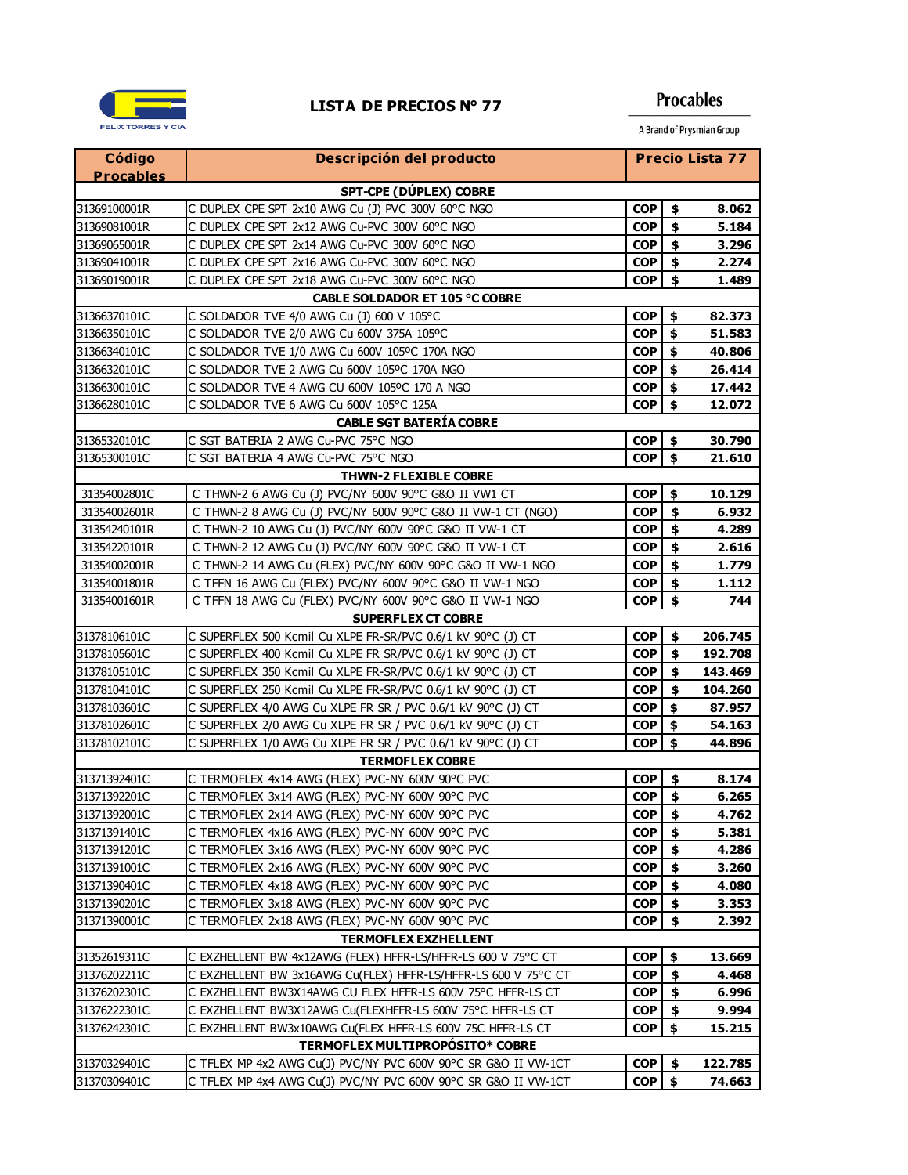

### **Procables**

| Código                          | Descripción del producto                                       |                  |                    | <b>Precio Lista 77</b> |  |
|---------------------------------|----------------------------------------------------------------|------------------|--------------------|------------------------|--|
| <b>Procables</b>                |                                                                |                  |                    |                        |  |
|                                 | SPT-CPE (DÚPLEX) COBRE                                         |                  |                    |                        |  |
| 31369100001R                    | C DUPLEX CPE SPT 2x10 AWG Cu (J) PVC 300V 60°C NGO             | <b>COP</b>       | \$                 | 8.062                  |  |
| 31369081001R                    | C DUPLEX CPE SPT 2x12 AWG Cu-PVC 300V 60°C NGO                 | <b>COP</b>       | $\dot{\mathbf{s}}$ | 5.184                  |  |
| 31369065001R                    | C DUPLEX CPE SPT 2x14 AWG Cu-PVC 300V 60°C NGO                 | <b>COP</b>       | \$                 | 3.296                  |  |
| 31369041001R                    | C DUPLEX CPE SPT 2x16 AWG Cu-PVC 300V 60°C NGO                 | <b>COP</b>       | $\frac{1}{2}$      | 2.274                  |  |
| 31369019001R                    | C DUPLEX CPE SPT 2x18 AWG Cu-PVC 300V 60°C NGO                 | <b>COP</b>       | \$                 | 1.489                  |  |
|                                 | <b>CABLE SOLDADOR ET 105 °C COBRE</b>                          |                  |                    |                        |  |
| 31366370101C                    | C SOLDADOR TVE 4/0 AWG Cu (J) 600 V 105°C                      | <b>COP</b>       | \$                 | 82.373                 |  |
| 31366350101C                    | C SOLDADOR TVE 2/0 AWG Cu 600V 375A 105ºC                      | COP              | $\ddot{\bm{s}}$    | 51.583                 |  |
| 31366340101C                    | C SOLDADOR TVE 1/0 AWG Cu 600V 105ºC 170A NGO                  | <b>COP</b>       | $\frac{1}{2}$      | 40.806                 |  |
| 31366320101C                    | C SOLDADOR TVE 2 AWG Cu 600V 105ºC 170A NGO                    | <b>COP</b>       | $\frac{1}{2}$      | 26.414                 |  |
| 31366300101C                    | C SOLDADOR TVE 4 AWG CU 600V 105ºC 170 A NGO                   | <b>COP</b>       | $\frac{1}{2}$      | 17.442                 |  |
| 31366280101C                    | C SOLDADOR TVE 6 AWG Cu 600V 105°C 125A                        | <b>COP</b>       | \$                 | 12.072                 |  |
|                                 | <b>CABLE SGT BATERÍA COBRE</b>                                 |                  |                    |                        |  |
| 31365320101C                    | C SGT BATERIA 2 AWG Cu-PVC 75°C NGO                            | <b>COP</b>       | $\frac{1}{2}$      | 30.790                 |  |
| 31365300101C                    | C SGT BATERIA 4 AWG Cu-PVC 75°C NGO                            | <b>COP</b>       | \$                 | 21.610                 |  |
|                                 | <b>THWN-2 FLEXIBLE COBRE</b>                                   |                  |                    |                        |  |
| 31354002801C                    | C THWN-2 6 AWG Cu (J) PVC/NY 600V 90°C G&O II VW1 CT           | <b>COP</b>       | \$                 | 10.129                 |  |
| 31354002601R                    | C THWN-2 8 AWG Cu (J) PVC/NY 600V 90°C G&O II VW-1 CT (NGO)    | COP              | $\ddot{\bm{s}}$    | 6.932                  |  |
| 31354240101R                    | C THWN-2 10 AWG Cu (J) PVC/NY 600V 90°C G&O II VW-1 CT         | <b>COP</b>       | $\frac{1}{2}$      | 4.289                  |  |
| 31354220101R                    | C THWN-2 12 AWG Cu (J) PVC/NY 600V 90°C G&O II VW-1 CT         | <b>COP</b>       | $\ddot{\bullet}$   | 2.616                  |  |
| 31354002001R                    | C THWN-2 14 AWG Cu (FLEX) PVC/NY 600V 90°C G&O II VW-1 NGO     | <b>COP</b>       | $\ddot{\bm{s}}$    | 1.779                  |  |
| 31354001801R                    | C TFFN 16 AWG Cu (FLEX) PVC/NY 600V 90°C G&O II VW-1 NGO       | <b>COP</b>       | \$                 | 1.112                  |  |
| 31354001601R                    | C TFFN 18 AWG Cu (FLEX) PVC/NY 600V 90°C G&O II VW-1 NGO       | <b>COP</b>       | \$                 | 744                    |  |
|                                 | <b>SUPERFLEX CT COBRE</b>                                      |                  |                    |                        |  |
| 31378106101C                    | C SUPERFLEX 500 Kcmil Cu XLPE FR-SR/PVC 0.6/1 kV 90°C (J) CT   | <b>COP</b>       | \$                 | 206.745                |  |
| 31378105601C                    | C SUPERFLEX 400 Kcmil Cu XLPE FR SR/PVC 0.6/1 kV 90°C (J) CT   | <b>COP</b>       | $\ddot{\bm{s}}$    | 192.708                |  |
| 31378105101C                    | C SUPERFLEX 350 Kcmil Cu XLPE FR-SR/PVC 0.6/1 kV 90°C (J) CT   | <b>COP</b>       | $\ddot{\bm{s}}$    | 143.469                |  |
| 31378104101C                    | C SUPERFLEX 250 Kcmil Cu XLPE FR-SR/PVC 0.6/1 kV 90°C (J) CT   | <b>COP</b>       | $\ddot{\bm{s}}$    | 104.260                |  |
| 31378103601C                    | C SUPERFLEX 4/0 AWG Cu XLPE FR SR / PVC 0.6/1 kV 90°C (J) CT   | <b>COP</b>       | $\ddot{\bm{z}}$    | 87.957                 |  |
| 31378102601C                    | C SUPERFLEX 2/0 AWG Cu XLPE FR SR / PVC 0.6/1 kV 90°C (J) CT   | <b>COP</b>       | $\ddot{\bullet}$   | 54.163                 |  |
| 31378102101C                    | C SUPERFLEX 1/0 AWG Cu XLPE FR SR / PVC 0.6/1 kV 90°C (J) CT   | <b>COP</b>       | \$                 | 44.896                 |  |
|                                 | <b>TERMOFLEX COBRE</b>                                         |                  |                    |                        |  |
| 31371392401C                    | C TERMOFLEX 4x14 AWG (FLEX) PVC-NY 600V 90°C PVC               | <b>COP</b>       | \$                 | 8.174                  |  |
| 31371392201C                    | C TERMOFLEX 3x14 AWG (FLEX) PVC-NY 600V 90°C PVC               | <b>COP</b>       | $\ddot{\bullet}$   | 6.265                  |  |
| 31371392001C                    | C TERMOFLEX 2x14 AWG (FLEX) PVC-NY 600V 90°C PVC               | <b>COP</b>       | <u>\$</u>          | 4.762                  |  |
| 31371391401C                    | C TERMOFLEX 4x16 AWG (FLEX) PVC-NY 600V 90°C PVC               | <b>COP</b>       | $\frac{1}{2}$      | 5.381                  |  |
| 31371391201C                    | C TERMOFLEX 3x16 AWG (FLEX) PVC-NY 600V 90°C PVC               | <b>COP</b>       | \$                 | 4.286                  |  |
| 31371391001C                    | C TERMOFLEX 2x16 AWG (FLEX) PVC-NY 600V 90°C PVC               | <b>COP</b>       | \$                 | 3.260                  |  |
| 31371390401C                    | C TERMOFLEX 4x18 AWG (FLEX) PVC-NY 600V 90°C PVC               | <b>COP</b>       | \$                 | 4.080                  |  |
| 31371390201C                    | C TERMOFLEX 3x18 AWG (FLEX) PVC-NY 600V 90°C PVC               | <b>COP</b>       | \$                 | 3.353                  |  |
| 31371390001C                    | C TERMOFLEX 2x18 AWG (FLEX) PVC-NY 600V 90°C PVC               | <b>COP</b>       | \$                 | 2.392                  |  |
|                                 | <b>TERMOFLEX EXZHELLENT</b>                                    |                  |                    |                        |  |
| 31352619311C                    | C EXZHELLENT BW 4x12AWG (FLEX) HFFR-LS/HFFR-LS 600 V 75°C CT   | COP              | \$                 | 13.669                 |  |
| 31376202211C                    | C EXZHELLENT BW 3x16AWG Cu(FLEX) HFFR-LS/HFFR-LS 600 V 75°C CT | COP              | \$                 | 4.468                  |  |
| 31376202301C                    | C EXZHELLENT BW3X14AWG CU FLEX HFFR-LS 600V 75°C HFFR-LS CT    | COP              | \$                 | 6.996                  |  |
| 31376222301C                    | C EXZHELLENT BW3X12AWG Cu(FLEXHFFR-LS 600V 75°C HFFR-LS CT     | <b>COP</b>       | \$                 | 9.994                  |  |
| 31376242301C                    | C EXZHELLENT BW3x10AWG Cu(FLEX HFFR-LS 600V 75C HFFR-LS CT     | <b>COP</b>       | \$                 | 15.215                 |  |
| TERMOFLEX MULTIPROPOSITO* COBRE |                                                                |                  |                    |                        |  |
| 31370329401C                    | C TFLEX MP 4x2 AWG Cu(J) PVC/NY PVC 600V 90°C SR G&O II VW-1CT | $\overline{COP}$ | \$                 | 122.785                |  |
| 31370309401C                    | C TFLEX MP 4x4 AWG Cu(J) PVC/NY PVC 600V 90°C SR G&O II VW-1CT | $COP$ \$         |                    | 74.663                 |  |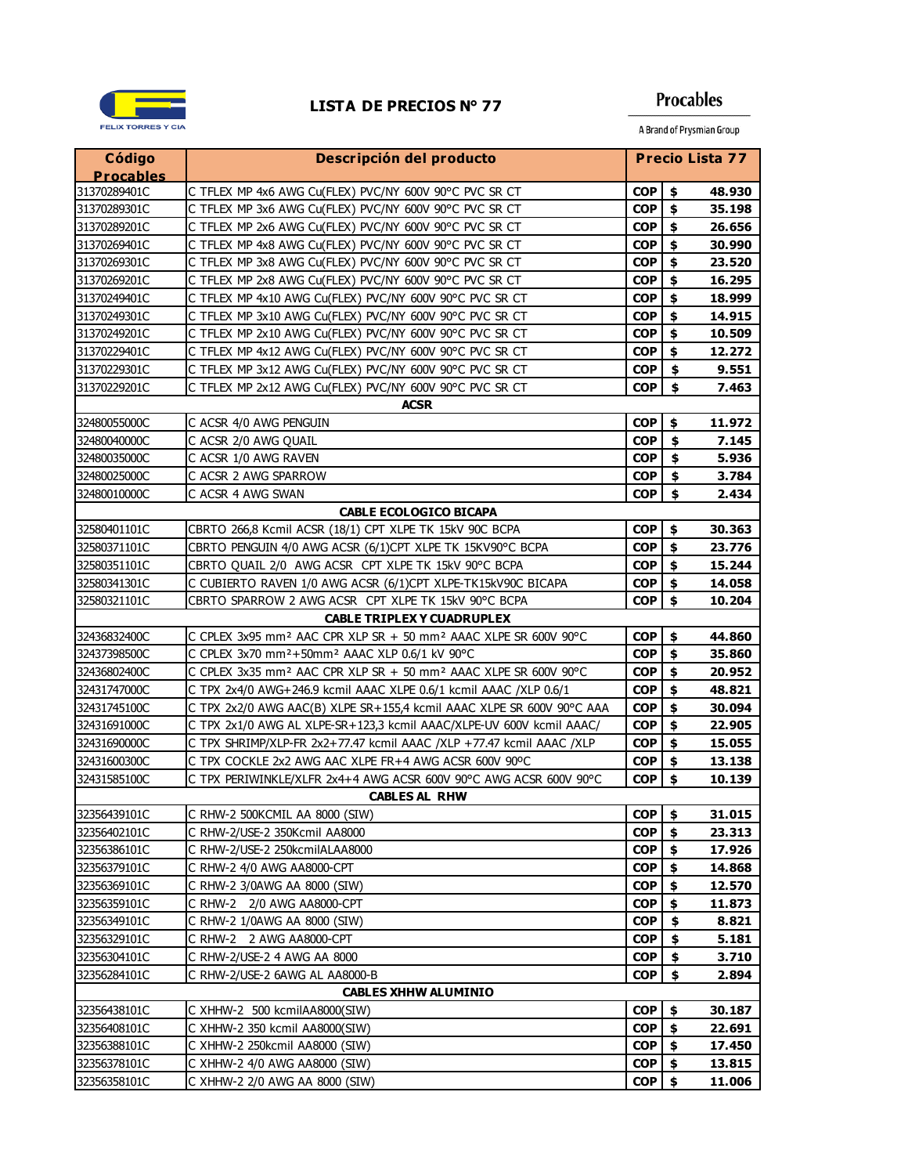

# **Procables**

| Código                      | Descripción del producto                                                                |                  |    | <b>Precio Lista 77</b> |
|-----------------------------|-----------------------------------------------------------------------------------------|------------------|----|------------------------|
| <b>Procables</b>            |                                                                                         |                  |    |                        |
| 31370289401C                | C TFLEX MP 4x6 AWG Cu(FLEX) PVC/NY 600V 90°C PVC SR CT                                  | <b>COP</b>       | \$ | 48.930                 |
| 31370289301C                | C TFLEX MP 3x6 AWG Cu(FLEX) PVC/NY 600V 90°C PVC SR CT                                  | <b>COP</b>       | \$ | 35.198                 |
| 31370289201C                | C TFLEX MP 2x6 AWG Cu(FLEX) PVC/NY 600V 90°C PVC SR CT                                  | <b>COP</b>       | \$ | 26.656                 |
| 31370269401C                | C TFLEX MP 4x8 AWG Cu(FLEX) PVC/NY 600V 90°C PVC SR CT                                  | COP              | \$ | 30.990                 |
| 31370269301C                | C TFLEX MP 3x8 AWG Cu(FLEX) PVC/NY 600V 90°C PVC SR CT                                  | <b>COP</b>       | \$ | 23.520                 |
| 31370269201C                | C TFLEX MP 2x8 AWG Cu(FLEX) PVC/NY 600V 90°C PVC SR CT                                  | <b>COP</b>       | \$ | 16.295                 |
| 31370249401C                | C TFLEX MP 4x10 AWG Cu(FLEX) PVC/NY 600V 90°C PVC SR CT                                 | <b>COP</b>       | \$ | 18.999                 |
| 31370249301C                | C TFLEX MP 3x10 AWG Cu(FLEX) PVC/NY 600V 90°C PVC SR CT                                 | <b>COP</b>       | \$ | 14.915                 |
| 31370249201C                | C TFLEX MP 2x10 AWG Cu(FLEX) PVC/NY 600V 90°C PVC SR CT                                 | COP              | \$ | 10.509                 |
| 31370229401C                | C TFLEX MP 4x12 AWG Cu(FLEX) PVC/NY 600V 90°C PVC SR CT                                 | <b>COP</b>       | \$ | 12.272                 |
| 31370229301C                | C TFLEX MP 3x12 AWG Cu(FLEX) PVC/NY 600V 90°C PVC SR CT                                 | <b>COP</b>       | \$ | 9.551                  |
| 31370229201C                | C TFLEX MP 2x12 AWG Cu(FLEX) PVC/NY 600V 90°C PVC SR CT                                 | <b>COP</b>       | \$ | 7.463                  |
|                             | <b>ACSR</b>                                                                             |                  |    |                        |
| 32480055000C                | C ACSR 4/0 AWG PENGUIN                                                                  | <b>COP</b>       | \$ | 11.972                 |
| 32480040000C                | C ACSR 2/0 AWG QUAIL                                                                    | <b>COP</b>       | \$ | 7.145                  |
| 32480035000C                | C ACSR 1/0 AWG RAVEN                                                                    | <b>COP</b>       | \$ | 5.936                  |
| 32480025000C                | C ACSR 2 AWG SPARROW                                                                    | <b>COP</b>       | \$ | 3.784                  |
| 32480010000C                | C ACSR 4 AWG SWAN                                                                       | <b>COP</b>       | \$ | 2.434                  |
|                             | <b>CABLE ECOLOGICO BICAPA</b>                                                           |                  |    |                        |
| 32580401101C                | CBRTO 266,8 Kcmil ACSR (18/1) CPT XLPE TK 15kV 90C BCPA                                 | <b>COP</b>       | \$ | 30.363                 |
| 32580371101C                | CBRTO PENGUIN 4/0 AWG ACSR (6/1)CPT XLPE TK 15KV90°C BCPA                               | <b>COP</b>       | \$ | 23.776                 |
| 32580351101C                | CBRTO QUAIL 2/0 AWG ACSR CPT XLPE TK 15kV 90°C BCPA                                     | COP <sup>1</sup> | \$ | 15.244                 |
| 32580341301C                | C CUBIERTO RAVEN 1/0 AWG ACSR (6/1)CPT XLPE-TK15kV90C BICAPA                            | COP              | \$ | 14.058                 |
| 32580321101C                | CBRTO SPARROW 2 AWG ACSR CPT XLPE TK 15kV 90°C BCPA                                     | <b>COP</b>       | \$ | 10.204                 |
|                             | <b>CABLE TRIPLEX Y CUADRUPLEX</b>                                                       |                  |    |                        |
| 32436832400C                | C CPLEX 3x95 mm <sup>2</sup> AAC CPR XLP SR + 50 mm <sup>2</sup> AAAC XLPE SR 600V 90°C | <b>COP</b>       | \$ | 44.860                 |
| 32437398500C                | C CPLEX 3x70 mm <sup>2</sup> +50mm <sup>2</sup> AAAC XLP 0.6/1 kV 90°C                  | <b>COP</b>       | \$ | 35.860                 |
| 32436802400C                | C CPLEX 3x35 mm <sup>2</sup> AAC CPR XLP SR + 50 mm <sup>2</sup> AAAC XLPE SR 600V 90°C | <b>COP</b>       | \$ | 20.952                 |
| 32431747000C                | C TPX 2x4/0 AWG+246.9 kcmil AAAC XLPE 0.6/1 kcmil AAAC /XLP 0.6/1                       | <b>COP</b>       | \$ | 48.821                 |
| 32431745100C                | C TPX 2x2/0 AWG AAC(B) XLPE SR+155,4 kcmil AAAC XLPE SR 600V 90°C AAA                   | <b>COP</b>       | \$ | 30.094                 |
| 32431691000C                | C TPX 2x1/0 AWG AL XLPE-SR+123,3 kcmil AAAC/XLPE-UV 600V kcmil AAAC/                    | <b>COP</b>       | \$ | 22.905                 |
| 32431690000C                | C TPX SHRIMP/XLP-FR 2x2+77.47 kcmil AAAC /XLP +77.47 kcmil AAAC /XLP                    | <b>COP</b>       | \$ | 15.055                 |
| 32431600300C                | C TPX COCKLE 2x2 AWG AAC XLPE FR+4 AWG ACSR 600V 90°C                                   | COP              | \$ | 13.138                 |
| 32431585100C                | C TPX PERIWINKLE/XLFR 2x4+4 AWG ACSR 600V 90°C AWG ACSR 600V 90°C                       | <b>COP</b>       | \$ | 10.139                 |
|                             | <b>CABLES AL RHW</b>                                                                    |                  |    |                        |
| 32356439101C                | C RHW-2 500KCMIL AA 8000 (SIW)                                                          | COP              | \$ | 31.015                 |
| 32356402101C                | C RHW-2/USE-2 350Kcmil AA8000                                                           | COP              | \$ | 23.313                 |
| 32356386101C                | C RHW-2/USE-2 250kcmilALAA8000                                                          | COP              | \$ | 17.926                 |
| 32356379101C                | C RHW-2 4/0 AWG AA8000-CPT                                                              | COP              | \$ | 14.868                 |
| 32356369101C                | C RHW-2 3/0AWG AA 8000 (SIW)                                                            | COP              | \$ | 12.570                 |
| 32356359101C                | CRHW-2 2/0 AWG AA8000-CPT                                                               | <b>COP</b>       | \$ | 11.873                 |
| 32356349101C                | C RHW-2 1/0AWG AA 8000 (SIW)                                                            | COP.             | \$ | 8.821                  |
| 32356329101C                | CRHW-2 2 AWG AA8000-CPT                                                                 | COP.             | \$ | 5.181                  |
| 32356304101C                | C RHW-2/USE-2 4 AWG AA 8000                                                             | <b>COP</b>       | \$ | 3.710                  |
| 32356284101C                | C RHW-2/USE-2 6AWG AL AA8000-B                                                          | <b>COP</b>       | \$ | 2.894                  |
| <b>CABLES XHHW ALUMINIO</b> |                                                                                         |                  |    |                        |
| 32356438101C                | C XHHW-2 500 kcmilAA8000(SIW)                                                           | <b>COP</b>       | \$ | 30.187                 |
| 32356408101C                | C XHHW-2 350 kcmil AA8000(SIW)                                                          | COP              | \$ | 22.691                 |
| 32356388101C                | C XHHW-2 250kcmil AA8000 (SIW)                                                          | COP              | \$ | 17.450                 |
| 32356378101C                | C XHHW-2 4/0 AWG AA8000 (SIW)                                                           | <b>COP</b>       | \$ | 13.815                 |
| 32356358101C                | C XHHW-2 2/0 AWG AA 8000 (SIW)                                                          | COP              | \$ | 11.006                 |